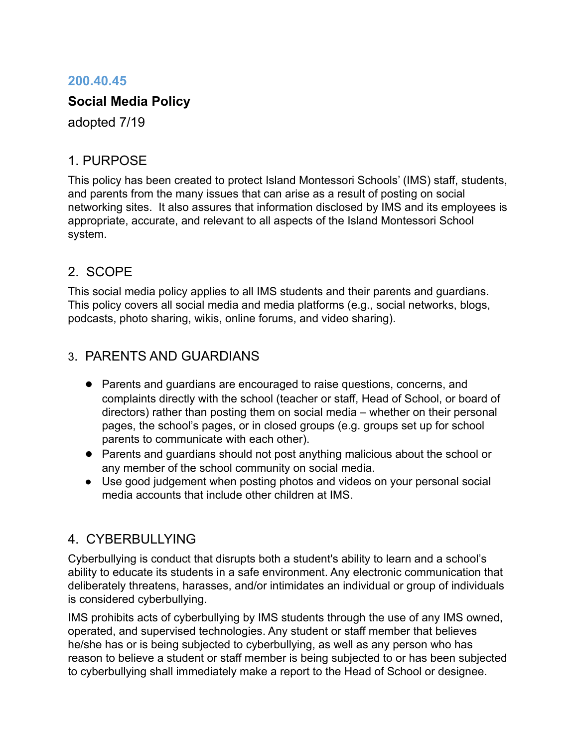#### **200.40.45**

#### **Social Media Policy**

adopted 7/19

#### 1. PURPOSE

This policy has been created to protect Island Montessori Schools' (IMS) staff, students, and parents from the many issues that can arise as a result of posting on social networking sites. It also assures that information disclosed by IMS and its employees is appropriate, accurate, and relevant to all aspects of the Island Montessori School system.

## 2. SCOPE

This social media policy applies to all IMS students and their parents and guardians. This policy covers all social media and media platforms (e.g., social networks, blogs, podcasts, photo sharing, wikis, online forums, and video sharing).

# 3. PARENTS AND GUARDIANS

- Parents and guardians are encouraged to raise questions, concerns, and complaints directly with the school (teacher or staff, Head of School, or board of directors) rather than posting them on social media – whether on their personal pages, the school's pages, or in closed groups (e.g. groups set up for school parents to communicate with each other).
- Parents and guardians should not post anything malicious about the school or any member of the school community on social media.
- Use good judgement when posting photos and videos on your personal social media accounts that include other children at IMS.

## 4. CYBERBULLYING

Cyberbullying is conduct that disrupts both a student's ability to learn and a school's ability to educate its students in a safe environment. Any electronic communication that deliberately threatens, harasses, and/or intimidates an individual or group of individuals is considered cyberbullying.

IMS prohibits acts of cyberbullying by IMS students through the use of any IMS owned, operated, and supervised technologies. Any student or staff member that believes he/she has or is being subjected to cyberbullying, as well as any person who has reason to believe a student or staff member is being subjected to or has been subjected to cyberbullying shall immediately make a report to the Head of School or designee.